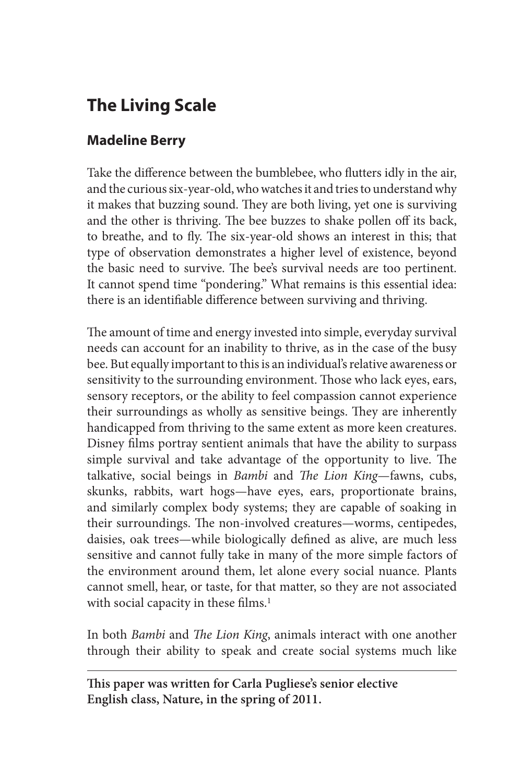# **The Living Scale**

## **Madeline Berry**

Take the difference between the bumblebee, who flutters idly in the air, and the curious six-year-old, who watches it and tries to understand why it makes that buzzing sound. They are both living, yet one is surviving and the other is thriving. The bee buzzes to shake pollen off its back, to breathe, and to fly. The six-year-old shows an interest in this; that type of observation demonstrates a higher level of existence, beyond the basic need to survive. The bee's survival needs are too pertinent. It cannot spend time "pondering." What remains is this essential idea: there is an identifiable difference between surviving and thriving.

The amount of time and energy invested into simple, everyday survival needs can account for an inability to thrive, as in the case of the busy bee. But equally important to this is an individual's relative awareness or sensitivity to the surrounding environment. Those who lack eyes, ears, sensory receptors, or the ability to feel compassion cannot experience their surroundings as wholly as sensitive beings. They are inherently handicapped from thriving to the same extent as more keen creatures. Disney films portray sentient animals that have the ability to surpass simple survival and take advantage of the opportunity to live. The talkative, social beings in *Bambi* and *The Lion King*—fawns, cubs, skunks, rabbits, wart hogs—have eyes, ears, proportionate brains, and similarly complex body systems; they are capable of soaking in their surroundings. The non-involved creatures—worms, centipedes, daisies, oak trees—while biologically defined as alive, are much less sensitive and cannot fully take in many of the more simple factors of the environment around them, let alone every social nuance. Plants cannot smell, hear, or taste, for that matter, so they are not associated with social capacity in these films.<sup>1</sup>

In both *Bambi* and *The Lion King*, animals interact with one another through their ability to speak and create social systems much like

**This paper was written for Carla Pugliese's senior elective English class, Nature, in the spring of 2011.**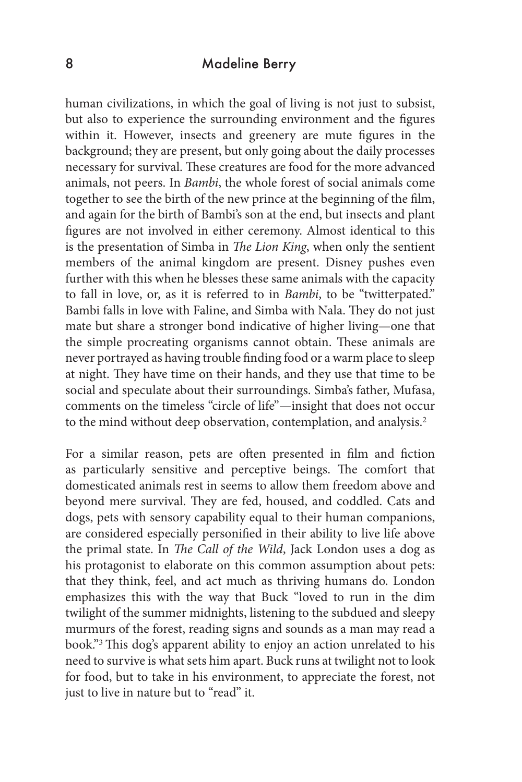### 8 Madeline Berry

human civilizations, in which the goal of living is not just to subsist, but also to experience the surrounding environment and the figures within it. However, insects and greenery are mute figures in the background; they are present, but only going about the daily processes necessary for survival. These creatures are food for the more advanced animals, not peers. In *Bambi*, the whole forest of social animals come together to see the birth of the new prince at the beginning of the film, and again for the birth of Bambi's son at the end, but insects and plant figures are not involved in either ceremony. Almost identical to this is the presentation of Simba in *The Lion King*, when only the sentient members of the animal kingdom are present. Disney pushes even further with this when he blesses these same animals with the capacity to fall in love, or, as it is referred to in *Bambi*, to be "twitterpated." Bambi falls in love with Faline, and Simba with Nala. They do not just mate but share a stronger bond indicative of higher living—one that the simple procreating organisms cannot obtain. These animals are never portrayed as having trouble finding food or a warm place to sleep at night. They have time on their hands, and they use that time to be social and speculate about their surroundings. Simba's father, Mufasa, comments on the timeless "circle of life"—insight that does not occur to the mind without deep observation, contemplation, and analysis.<sup>2</sup>

For a similar reason, pets are often presented in film and fiction as particularly sensitive and perceptive beings. The comfort that domesticated animals rest in seems to allow them freedom above and beyond mere survival. They are fed, housed, and coddled. Cats and dogs, pets with sensory capability equal to their human companions, are considered especially personified in their ability to live life above the primal state. In *The Call of the Wild*, Jack London uses a dog as his protagonist to elaborate on this common assumption about pets: that they think, feel, and act much as thriving humans do. London emphasizes this with the way that Buck "loved to run in the dim twilight of the summer midnights, listening to the subdued and sleepy murmurs of the forest, reading signs and sounds as a man may read a book."3 This dog's apparent ability to enjoy an action unrelated to his need to survive is what sets him apart. Buck runs at twilight not to look for food, but to take in his environment, to appreciate the forest, not just to live in nature but to "read" it.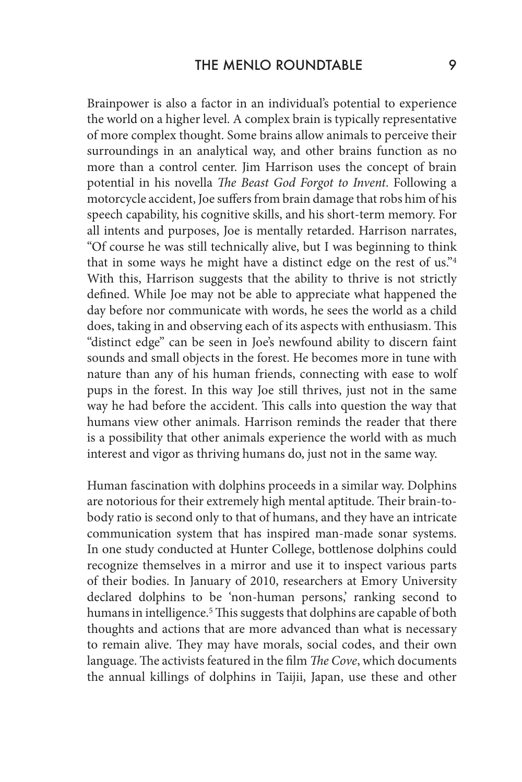Brainpower is also a factor in an individual's potential to experience the world on a higher level. A complex brain is typically representative of more complex thought. Some brains allow animals to perceive their surroundings in an analytical way, and other brains function as no more than a control center. Jim Harrison uses the concept of brain potential in his novella *The Beast God Forgot to Invent*. Following a motorcycle accident, Joe suffers from brain damage that robs him of his speech capability, his cognitive skills, and his short-term memory. For all intents and purposes, Joe is mentally retarded. Harrison narrates, "Of course he was still technically alive, but I was beginning to think that in some ways he might have a distinct edge on the rest of us."4 With this, Harrison suggests that the ability to thrive is not strictly defined. While Joe may not be able to appreciate what happened the day before nor communicate with words, he sees the world as a child does, taking in and observing each of its aspects with enthusiasm. This "distinct edge" can be seen in Joe's newfound ability to discern faint sounds and small objects in the forest. He becomes more in tune with nature than any of his human friends, connecting with ease to wolf pups in the forest. In this way Joe still thrives, just not in the same way he had before the accident. This calls into question the way that humans view other animals. Harrison reminds the reader that there is a possibility that other animals experience the world with as much interest and vigor as thriving humans do, just not in the same way.

Human fascination with dolphins proceeds in a similar way. Dolphins are notorious for their extremely high mental aptitude. Their brain-tobody ratio is second only to that of humans, and they have an intricate communication system that has inspired man-made sonar systems. In one study conducted at Hunter College, bottlenose dolphins could recognize themselves in a mirror and use it to inspect various parts of their bodies. In January of 2010, researchers at Emory University declared dolphins to be 'non-human persons,' ranking second to humans in intelligence.<sup>5</sup> This suggests that dolphins are capable of both thoughts and actions that are more advanced than what is necessary to remain alive. They may have morals, social codes, and their own language. The activists featured in the film *The Cove*, which documents the annual killings of dolphins in Taijii, Japan, use these and other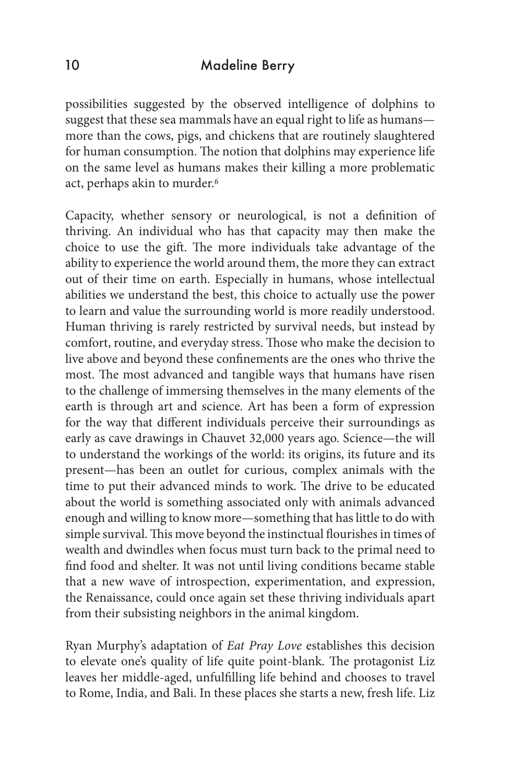### 10 Madeline Berry

possibilities suggested by the observed intelligence of dolphins to suggest that these sea mammals have an equal right to life as humans more than the cows, pigs, and chickens that are routinely slaughtered for human consumption. The notion that dolphins may experience life on the same level as humans makes their killing a more problematic act, perhaps akin to murder.6

Capacity, whether sensory or neurological, is not a definition of thriving. An individual who has that capacity may then make the choice to use the gift. The more individuals take advantage of the ability to experience the world around them, the more they can extract out of their time on earth. Especially in humans, whose intellectual abilities we understand the best, this choice to actually use the power to learn and value the surrounding world is more readily understood. Human thriving is rarely restricted by survival needs, but instead by comfort, routine, and everyday stress. Those who make the decision to live above and beyond these confinements are the ones who thrive the most. The most advanced and tangible ways that humans have risen to the challenge of immersing themselves in the many elements of the earth is through art and science. Art has been a form of expression for the way that different individuals perceive their surroundings as early as cave drawings in Chauvet 32,000 years ago. Science—the will to understand the workings of the world: its origins, its future and its present—has been an outlet for curious, complex animals with the time to put their advanced minds to work. The drive to be educated about the world is something associated only with animals advanced enough and willing to know more—something that has little to do with simple survival. This move beyond the instinctual flourishes in times of wealth and dwindles when focus must turn back to the primal need to find food and shelter. It was not until living conditions became stable that a new wave of introspection, experimentation, and expression, the Renaissance, could once again set these thriving individuals apart from their subsisting neighbors in the animal kingdom.

Ryan Murphy's adaptation of *Eat Pray Love* establishes this decision to elevate one's quality of life quite point-blank. The protagonist Liz leaves her middle-aged, unfulfilling life behind and chooses to travel to Rome, India, and Bali. In these places she starts a new, fresh life. Liz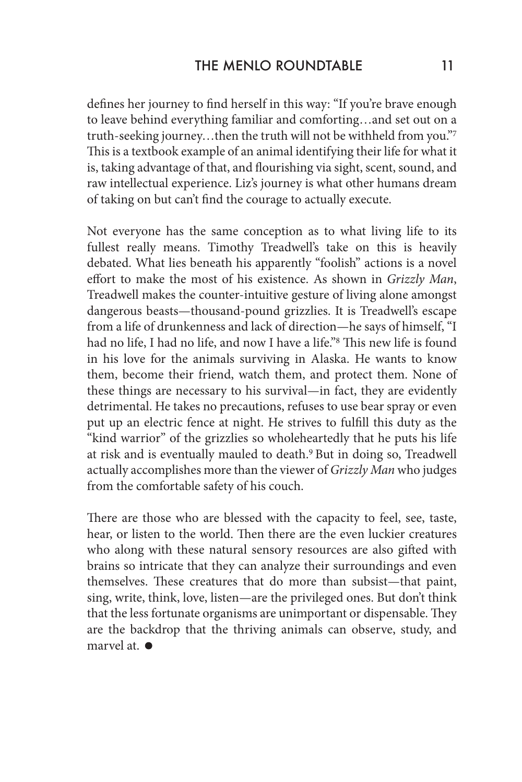defines her journey to find herself in this way: "If you're brave enough to leave behind everything familiar and comforting…and set out on a truth-seeking journey…then the truth will not be withheld from you."7 This is a textbook example of an animal identifying their life for what it is, taking advantage of that, and flourishing via sight, scent, sound, and raw intellectual experience. Liz's journey is what other humans dream of taking on but can't find the courage to actually execute.

Not everyone has the same conception as to what living life to its fullest really means. Timothy Treadwell's take on this is heavily debated. What lies beneath his apparently "foolish" actions is a novel effort to make the most of his existence. As shown in *Grizzly Man*, Treadwell makes the counter-intuitive gesture of living alone amongst dangerous beasts—thousand-pound grizzlies. It is Treadwell's escape from a life of drunkenness and lack of direction—he says of himself, "I had no life, I had no life, and now I have a life."<sup>8</sup> This new life is found in his love for the animals surviving in Alaska. He wants to know them, become their friend, watch them, and protect them. None of these things are necessary to his survival—in fact, they are evidently detrimental. He takes no precautions, refuses to use bear spray or even put up an electric fence at night. He strives to fulfill this duty as the "kind warrior" of the grizzlies so wholeheartedly that he puts his life at risk and is eventually mauled to death.9 But in doing so, Treadwell actually accomplishes more than the viewer of *Grizzly Man* who judges from the comfortable safety of his couch.

There are those who are blessed with the capacity to feel, see, taste, hear, or listen to the world. Then there are the even luckier creatures who along with these natural sensory resources are also gifted with brains so intricate that they can analyze their surroundings and even themselves. These creatures that do more than subsist—that paint, sing, write, think, love, listen—are the privileged ones. But don't think that the less fortunate organisms are unimportant or dispensable. They are the backdrop that the thriving animals can observe, study, and marvel at.